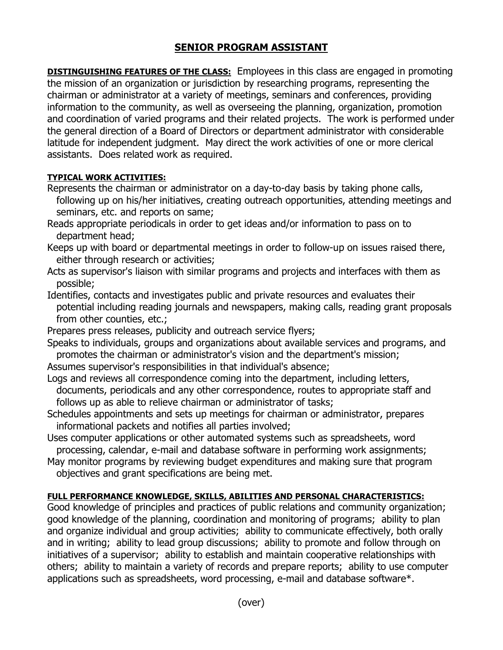## **SENIOR PROGRAM ASSISTANT**

**DISTINGUISHING FEATURES OF THE CLASS:** Employees in this class are engaged in promoting the mission of an organization or jurisdiction by researching programs, representing the chairman or administrator at a variety of meetings, seminars and conferences, providing information to the community, as well as overseeing the planning, organization, promotion and coordination of varied programs and their related projects. The work is performed under the general direction of a Board of Directors or department administrator with considerable latitude for independent judgment. May direct the work activities of one or more clerical assistants. Does related work as required.

## **TYPICAL WORK ACTIVITIES:**

- Represents the chairman or administrator on a day-to-day basis by taking phone calls, following up on his/her initiatives, creating outreach opportunities, attending meetings and seminars, etc. and reports on same;
- Reads appropriate periodicals in order to get ideas and/or information to pass on to department head;
- Keeps up with board or departmental meetings in order to follow-up on issues raised there, either through research or activities;
- Acts as supervisor's liaison with similar programs and projects and interfaces with them as possible;
- Identifies, contacts and investigates public and private resources and evaluates their potential including reading journals and newspapers, making calls, reading grant proposals from other counties, etc.;
- Prepares press releases, publicity and outreach service flyers;
- Speaks to individuals, groups and organizations about available services and programs, and promotes the chairman or administrator's vision and the department's mission;

Assumes supervisor's responsibilities in that individual's absence;

- Logs and reviews all correspondence coming into the department, including letters, documents, periodicals and any other correspondence, routes to appropriate staff and follows up as able to relieve chairman or administrator of tasks;
- Schedules appointments and sets up meetings for chairman or administrator, prepares informational packets and notifies all parties involved;
- Uses computer applications or other automated systems such as spreadsheets, word processing, calendar, e-mail and database software in performing work assignments;
- May monitor programs by reviewing budget expenditures and making sure that program objectives and grant specifications are being met.

## **FULL PERFORMANCE KNOWLEDGE, SKILLS, ABILITIES AND PERSONAL CHARACTERISTICS:**

Good knowledge of principles and practices of public relations and community organization; good knowledge of the planning, coordination and monitoring of programs; ability to plan and organize individual and group activities; ability to communicate effectively, both orally and in writing; ability to lead group discussions; ability to promote and follow through on initiatives of a supervisor; ability to establish and maintain cooperative relationships with others; ability to maintain a variety of records and prepare reports; ability to use computer applications such as spreadsheets, word processing, e-mail and database software\*.